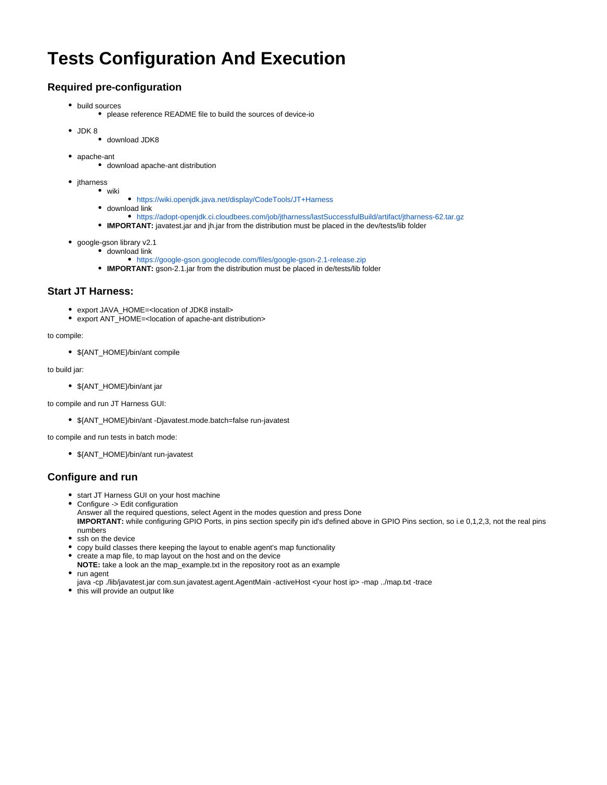# **Tests Configuration And Execution**

## **Required pre-configuration**

- build sources
	- please reference README file to build the sources of device-io
- JDK 8
	- download JDK8
- apache-ant
	- download apache-ant distribution
- *itharness* 
	- wiki <https://wiki.openjdk.java.net/display/CodeTools/JT+Harness>
	- download link
		- <https://adopt-openjdk.ci.cloudbees.com/job/jtharness/lastSuccessfulBuild/artifact/jtharness-62.tar.gz>
	- **IMPORTANT:** javatest.jar and jh.jar from the distribution must be placed in the dev/tests/lib folder
- google-gson library v2.1
	- download link
		- <https://google-gson.googlecode.com/files/google-gson-2.1-release.zip>
	- **IMPORTANT:** gson-2.1.jar from the distribution must be placed in de/tests/lib folder

### **Start JT Harness:**

- export JAVA\_HOME=<location of JDK8 install>
- export ANT\_HOME=<location of apache-ant distribution>

#### to compile:

\${ANT\_HOME}/bin/ant compile

#### to build jar:

\${ANT\_HOME}/bin/ant jar

to compile and run JT Harness GUI:

\${ANT\_HOME}/bin/ant -Djavatest.mode.batch=false run-javatest

to compile and run tests in batch mode:

\${ANT\_HOME}/bin/ant run-javatest

## **Configure and run**

- start JT Harness GUI on your host machine
- Configure -> Edit configuration Answer all the required questions, select Agent in the modes question and press Done **IMPORTANT:** while configuring GPIO Ports, in pins section specify pin id's defined above in GPIO Pins section, so i.e 0,1,2,3, not the real pins numbers
- ssh on the device
- copy build classes there keeping the layout to enable agent's map functionality
- create a map file, to map layout on the host and on the device **NOTE:** take a look an the map\_example.txt in the repository root as an example
- run agent
- java -cp ./lib/javatest.jar com.sun.javatest.agent.AgentMain -activeHost <your host ip> -map ../map.txt -trace
- this will provide an output like